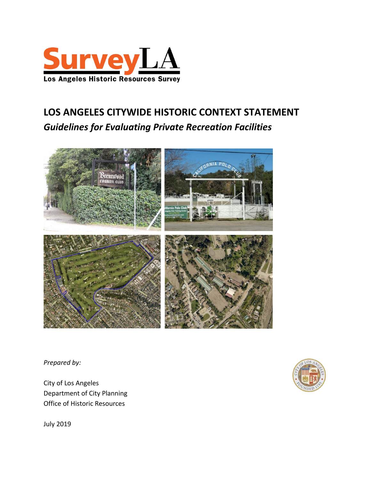

# **LOS ANGELES CITYWIDE HISTORIC CONTEXT STATEMENT** *Guidelines for Evaluating Private Recreation Facilities*



*Prepared by:*

City of Los Angeles Department of City Planning Office of Historic Resources



July 2019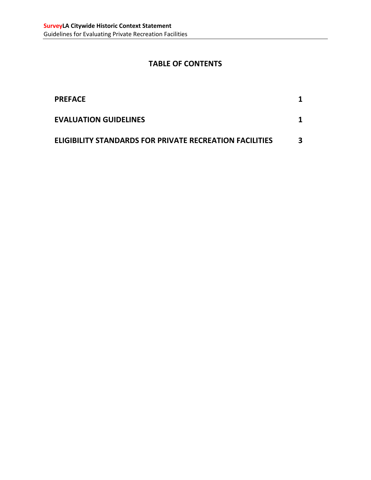# **TABLE OF CONTENTS**

| <b>PREFACE</b>                                                 |   |
|----------------------------------------------------------------|---|
| <b>EVALUATION GUIDELINES</b>                                   |   |
| <b>ELIGIBILITY STANDARDS FOR PRIVATE RECREATION FACILITIES</b> | 3 |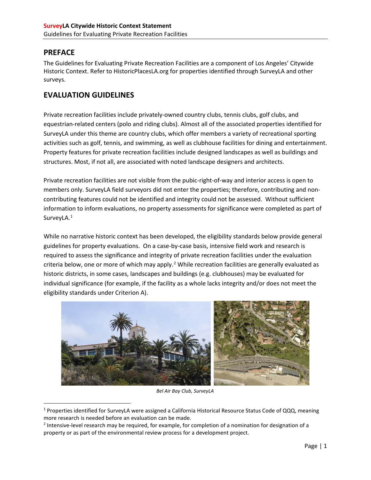## <span id="page-2-0"></span>**PREFACE**

The Guidelines for Evaluating Private Recreation Facilities are a component of Los Angeles' Citywide Historic Context. Refer to HistoricPlacesLA.org for properties identified through SurveyLA and other surveys.

## <span id="page-2-1"></span>**EVALUATION GUIDELINES**

Private recreation facilities include privately-owned country clubs, tennis clubs, golf clubs, and equestrian-related centers (polo and riding clubs). Almost all of the associated properties identified for SurveyLA under this theme are country clubs, which offer members a variety of recreational sporting activities such as golf, tennis, and swimming, as well as clubhouse facilities for dining and entertainment. Property features for private recreation facilities include designed landscapes as well as buildings and structures. Most, if not all, are associated with noted landscape designers and architects.

Private recreation facilities are not visible from the pubic-right-of-way and interior access is open to members only. SurveyLA field surveyors did not enter the properties; therefore, contributing and noncontributing features could not be identified and integrity could not be assessed. Without sufficient information to inform evaluations, no property assessments for significance were completed as part of SurveyLA.<sup>[1](#page-2-2)</sup>

While no narrative historic context has been developed, the eligibility standards below provide general guidelines for property evaluations. On a case-by-case basis, intensive field work and research is required to assess the significance and integrity of private recreation facilities under the evaluation criteria below, one or more of which may apply.<sup>[2](#page-2-3)</sup> While recreation facilities are generally evaluated as historic districts, in some cases, landscapes and buildings (e.g. clubhouses) may be evaluated for individual significance (for example, if the facility as a whole lacks integrity and/or does not meet the eligibility standards under Criterion A).



*Bel Air Bay Club, SurveyLA*

<span id="page-2-2"></span> <sup>1</sup> Properties identified for SurveyLA were assigned a California Historical Resource Status Code of QQQ, meaning more research is needed before an evaluation can be made.

<span id="page-2-3"></span><sup>2</sup> Intensive-level research may be required, for example, for completion of a nomination for designation of a property or as part of the environmental review process for a development project.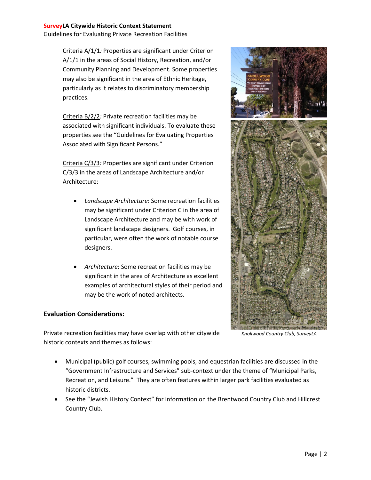Criteria A/1/1*:* Properties are significant under Criterion A/1/1 in the areas of Social History, Recreation, and/or Community Planning and Development. Some properties may also be significant in the area of Ethnic Heritage, particularly as it relates to discriminatory membership practices.

Criteria B/2/2*:* Private recreation facilities may be associated with significant individuals. To evaluate these properties see the "Guidelines for Evaluating Properties Associated with Significant Persons."

Criteria C/3/3*:* Properties are significant under Criterion C/3/3 in the areas of Landscape Architecture and/or Architecture:

- *Landscape Architecture*: Some recreation facilities may be significant under Criterion C in the area of Landscape Architecture and may be with work of significant landscape designers. Golf courses, in particular, were often the work of notable course designers.
- *Architecture*: Some recreation facilities may be significant in the area of Architecture as excellent examples of architectural styles of their period and may be the work of noted architects.

### **Evaluation Considerations:**

Private recreation facilities may have overlap with other citywide historic contexts and themes as follows:

- Municipal (public) golf courses, swimming pools, and equestrian facilities are discussed in the "Government Infrastructure and Services" sub-context under the theme of "Municipal Parks, Recreation, and Leisure." They are often features within larger park facilities evaluated as historic districts.
- See the "Jewish History Context" for information on the Brentwood Country Club and Hillcrest Country Club.



*Knollwood Country Club, SurveyLA*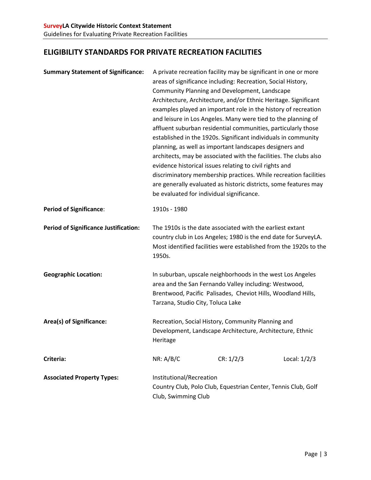# <span id="page-4-0"></span>**ELIGIBILITY STANDARDS FOR PRIVATE RECREATION FACILITIES**

| <b>Summary Statement of Significance:</b>    | be evaluated for individual significance.                                                                                                                                                                                | A private recreation facility may be significant in one or more<br>areas of significance including: Recreation, Social History,<br>Community Planning and Development, Landscape<br>Architecture, Architecture, and/or Ethnic Heritage. Significant<br>examples played an important role in the history of recreation<br>and leisure in Los Angeles. Many were tied to the planning of<br>affluent suburban residential communities, particularly those<br>established in the 1920s. Significant individuals in community<br>planning, as well as important landscapes designers and<br>architects, may be associated with the facilities. The clubs also<br>evidence historical issues relating to civil rights and<br>discriminatory membership practices. While recreation facilities<br>are generally evaluated as historic districts, some features may |                |
|----------------------------------------------|--------------------------------------------------------------------------------------------------------------------------------------------------------------------------------------------------------------------------|--------------------------------------------------------------------------------------------------------------------------------------------------------------------------------------------------------------------------------------------------------------------------------------------------------------------------------------------------------------------------------------------------------------------------------------------------------------------------------------------------------------------------------------------------------------------------------------------------------------------------------------------------------------------------------------------------------------------------------------------------------------------------------------------------------------------------------------------------------------|----------------|
| <b>Period of Significance:</b>               | 1910s - 1980                                                                                                                                                                                                             |                                                                                                                                                                                                                                                                                                                                                                                                                                                                                                                                                                                                                                                                                                                                                                                                                                                              |                |
| <b>Period of Significance Justification:</b> | 1950s.                                                                                                                                                                                                                   | The 1910s is the date associated with the earliest extant<br>country club in Los Angeles; 1980 is the end date for SurveyLA.<br>Most identified facilities were established from the 1920s to the                                                                                                                                                                                                                                                                                                                                                                                                                                                                                                                                                                                                                                                            |                |
| <b>Geographic Location:</b>                  | In suburban, upscale neighborhoods in the west Los Angeles<br>area and the San Fernando Valley including: Westwood,<br>Brentwood, Pacific Palisades, Cheviot Hills, Woodland Hills,<br>Tarzana, Studio City, Toluca Lake |                                                                                                                                                                                                                                                                                                                                                                                                                                                                                                                                                                                                                                                                                                                                                                                                                                                              |                |
| Area(s) of Significance:                     | Recreation, Social History, Community Planning and<br>Development, Landscape Architecture, Architecture, Ethnic<br>Heritage                                                                                              |                                                                                                                                                                                                                                                                                                                                                                                                                                                                                                                                                                                                                                                                                                                                                                                                                                                              |                |
| Criteria:                                    | NR: A/B/C                                                                                                                                                                                                                | CR: 1/2/3                                                                                                                                                                                                                                                                                                                                                                                                                                                                                                                                                                                                                                                                                                                                                                                                                                                    | Local: $1/2/3$ |
| <b>Associated Property Types:</b>            | Institutional/Recreation<br>Club, Swimming Club                                                                                                                                                                          | Country Club, Polo Club, Equestrian Center, Tennis Club, Golf                                                                                                                                                                                                                                                                                                                                                                                                                                                                                                                                                                                                                                                                                                                                                                                                |                |